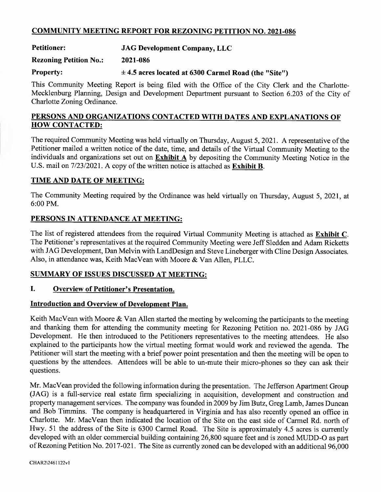# COMMUNITY MEETING REPORT FOR REZONING PETITION NO.2021-086

# Petitioner: JAG Development Company, LLC

### Rezoning Petition No.: 2021-086

# Property:  $\pm 4.5$  acres located at 6300 Carmel Road (the "Site")

This Community Meeting Report is being filed with the Office of the City Clerk and the Charlotte-Mecklenburg Planning, Design and Development Department pursuant to Section 6.203 of the City of Charlotte Zoning Ordinance.

# PERSONS AND ORGANIZATIONS CONTACTED WITH DATES AND EXPLANATIONS OF HOW CONTACTED:

The required Community Meeting was held virtually on Thursday, August 5, 2021. A representative of the Petitioner mailed a written notice of the date, time, and details of the Virtual Community Meeting to the individuals and organizations set out on Exhibit A by depositing the Community Meeting Notice in the U.S. mail on 7/23/2021. A copy of the written notice is attached as Exhibit B.

### TIME AND DATE OF MEETING:

The Community Meeting required by the Ordinance was held virtually on Thursday, August 5, 2021, at 6:00 PM.

# PERSONS IN ATTENDANCE AT MEETING:

The list of registered attendees from the required Virtual Community Meeting is attached as Exhibit C. The Petitioner's representatives at the required Community Meeting were Jeff Sledden and Adam Ricketts with JAG Development, Dan Melvin with LandDesign and Steve Lineberger with Cline Design Associates. Also, in attendance was, Keith MacVean with Moore & Van Allen, PLLC.

#### SUMMARY OF ISSUES DISCUSSED AT MEETING:

### I. Overview of Petitioner's Presentation.

#### Introduction and Overview of Development Plan.

Keith MacVean with Moore  $\&$  Van Allen started the meeting by welcoming the participants to the meeting and thanking them for attending the community meeting for Rezoning Petition no. 2021-086 by JAG Development. He then introduced to the Petitioners representatives to the meeting attendees. He also explained to the participants how the virtual meeting format would work and reviewed the agenda. The Petitioner will start the meeting with a brief power point presentation and then the meeting will be open to questions by the attendees. Attendees will be able to un-mute their micro-phones so they can ask their questions.

Mr. MacVean provided the following information during the presentation. The Jefferson Apartment Group (JAG) is afull-service real estate firm specializing in acquisition, development and construction and property management services. The company was founded in 2009 by Jim Butz, Greg Lamb, James Duncan and Bob Timmins. The company is headquartered in Virginia and has also recently opened an office in Charlotte. Mr. MacVean then indicated the location of the Site on the east side of Carmel Rd. north of Hwy. 51 the address of the Site is 6300 Carmel Road. The Site is approximately 4.5 acres is currently developed with an older commercial building containing 26,800 square feet and is zoned MUDD-O as part of Rezoning Petition No. 2017-021. The Site as currently zoned can be developed with an additiona196,000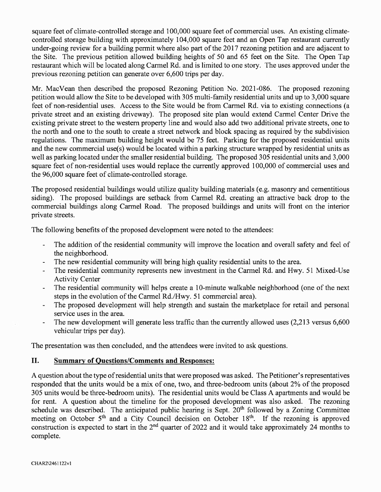square feet of climate-controlled storage and 100,000 square feet of commercial uses. An existing climatecontrolled storage building with approximately 104,000 square feet and an Open Tap restaurant currently under-going review for a building permit where also part of the 2017 rezoning petition and are adjacent to the Site. The previous petition allowed building heights of 50 and 65 feet on the Site. The Open Tap restaurant which will be located along Carmel Rd. and is limited to one story. The uses approved under the previous rezoning petition can generate over 6,600 trips per day.

Mr. MacVean then described the proposed Rezoning Petition No. 2021-086. The proposed rezoning petition would allow the Site to be developed with 305 multi-family residential units and up to 3,000 square feet of non-residential uses. Access to the Site would be from Carmel Rd. via to existing connections (a private street and an existing driveway). The proposed site plan would extend Carmel Center Drive the existing private street to the western property line and would also add two additional private streets, one to the north and one to the south to create a street network and block spacing as required by the subdivision regulations. The maximum building height would be 75 feet. Parking for the proposed residential units and the new commercial use(s) would be located within a parking structure wrapped by residential units as well as parking located under the smaller residential building. The proposed 305 residential units and 3,000 square feet of non-residential uses would replace the currently approved 100,000 of commercial uses and the 96,000 square feet of climate-controlled storage.

The proposed residential buildings would utilize quality building materials (e.g. masonry and cementitious siding). The proposed buildings are setback from Carmel Rd. creating an attractive back drop to the commercial buildings along Carmel Road. The proposed buildings and units will front on the interior private streets.

The following benefits of the proposed development were noted to the attendees:

- The addition of the residential community will improve the location and overall safety and feel of the neighborhood.
- The new residential community will bring high quality residential units to the area.
- The residential community represents new investment in the Carmel Rd. and Hwy. 51 Mixed-Use Activity Center
- The residential community will helps create a 10-minute walkable neighborhood (one of the next steps in the evolution of the Carmel Rd./Hwy. 51 commercial area).
- The proposed development will help strength and sustain the marketplace for retail and personal service uses in the area.
- The new development will generate less traffic than the currently allowed uses (2,213 versus 6,600 vehicular trips per day).

The presentation was then concluded, and the attendees were invited to ask questions.

# II. Summary of Questions/Comments and Responses:

A question about the type of residential units that were proposed was asked. The Petitioner's representatives responded that the units would be a mix of one, two, and three-bedroom units (about 2% of the proposed 305 units would be three-bedroom units). The residential units would be Class A apartments and would be for rent. A question about the timeline for the proposed development was also asked. The rezoning schedule was described. The anticipated public hearing is Sept. 20<sup>th</sup> followed by a Zoning Committee meeting on October 5<sup>th</sup> and a City Council decision on October 18<sup>th</sup>. If the rezoning is approved construction is expected to start in the  $2<sup>nd</sup>$  quarter of 2022 and it would take approximately 24 months to complete.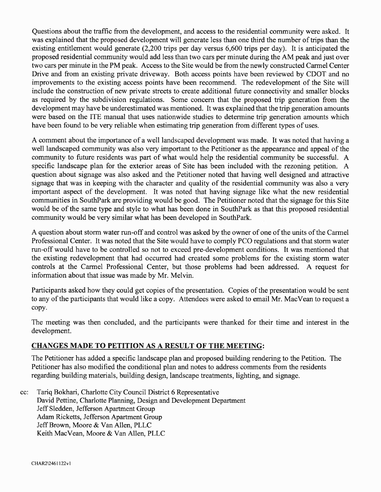Questions about the traffic from the development, and access to the residential community were asked. It was explained that the proposed development will generate less than one third the number of trips than the existing entitlement would generate (2,200 trips per day versus 6,600 trips per day). It is anticipated the proposed residential community would add less than two cars per minute during the AM peak and just over two cars per minute in the PM peak. Access to the Site would be from the newly constructed Carmel Center Drive and from an existing private driveway. Both access points have been reviewed by CDOT and no improvements to the existing access points have been recommend. The redevelopment of the Site will include the construction of new private streets to create additional future connectivity and smaller blocks as required by the subdivision regulations. Some concern that the proposed trip generation from the development may have be underestimated was mentioned. It was explained that the trip generation amounts were based on the ITE manual that uses nationwide studies to determine trip generation amounts which have been found to be very reliable when estimating trip generation from different types of uses.

A comment about the importance of a well landscaped development was made. It was noted that having a well landscaped community was also very important to the Petitioner as the appearance and appeal of the community to future residents was part of what would help the residential community be successful. A specific landscape plan for the exterior areas of Site has been included with the rezoning petition. A question about signage was also asked and the Petitioner noted that having well designed and attractive signage that was in keeping with the character and quality of the residential community was also a very important aspect of the development. It was noted that having signage like what the new residential communities in SouthPark are providing would be good. The Petitioner noted that the signage for this Site would be of the same type and style to what has been done in SouthPark as that this proposed residential community would be very similar what has been developed in SouthPark.

A question about storm water run-off and control was asked by the owner of one of the units of the Carmel Professional Center. It was noted that the Site would have to comply PCO regulations and that storm water run-off would have to be controlled so not to exceed pre-development conditions. It was mentioned that the existing redevelopment that had occurred had created. some problems for the existing storm water controls at the Carmel Professional Center, but those problems had been addressed. A request for information about that issue was made by Mr. Melvin.

Participants asked how they could get copies of the presentation. Copies of the presentation would be sent to any of the participants that would like a copy. Attendees were asked to email Mr. MacVean to request a copy.

The meeting was then concluded, and the participants were thanked for their time and interest in the development.

# CHANGES MADE TO PETITION AS A RESULT OF THE MEETING:

The Petitioner has added a specific landscape plan and proposed building rendering to the Petition. The Petitioner has also modified the conditional plan and notes to address comments from the residents regarding building materials, building design, landscape treatments, lighting, and signage.

cc: Tariq Bokhari, Charlotte City Council District 6 Representative David Pettine, Charlotte Planning, Design and Development Department Jeff Sledden, Jefferson Apartment Group Adam Ricketts, Jefferson Apartment Group Jeff Brown, Moore & Van Allen, PLLC Keith MacVean, Moore & Van Allen, PLLC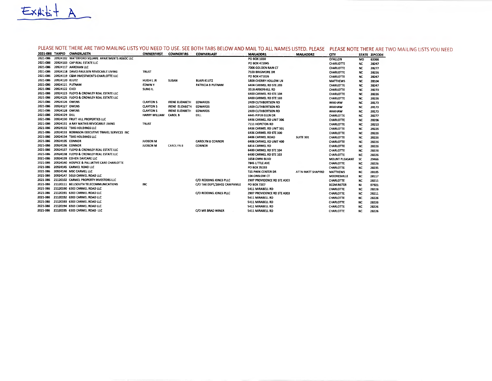$EX45+ A$ 

### PLEASE NOTE THERE ARE TWO MAILING LISTS YOU NEED TO USE. SEE BOTH TABS BELOW AND MAIL TO ALL NAMES LISTED. PLEASE PLEASE NOTE THERE ARE TWO MAILING LISTS YOU NEED

|          |                 | 2021-086 TAXPID OWNERLASTN                      | <b>OWNERFIRST</b> | <b>COWNERFIRS</b>      | COWNERLAST                    | <b>MAILADDR1</b>            | <b>MAILADDR2</b>  | <b>CITY</b>           |           | STATE ZIPCODE |
|----------|-----------------|-------------------------------------------------|-------------------|------------------------|-------------------------------|-----------------------------|-------------------|-----------------------|-----------|---------------|
| 2021-086 |                 | 20924102 WATERFORD SQUARE APARTMENTS ASSOCILLC  |                   |                        |                               | PO BOX 1030                 |                   | <b>OFALLON</b>        | MO        | 63366         |
| 2021-086 |                 | 20924103 CAP REAL ESTATE LLC                    |                   |                        |                               | PO BOX 472045               |                   | <b>CHARLOTTE</b>      | <b>NC</b> | 28247         |
| 2021-086 |                 | 20924117 AAROHAN LLC                            |                   |                        |                               | 7006 GOLDEN RAIN CT         |                   | <b>CHARLOTTE</b>      | <b>NC</b> | 28277         |
| 2021-086 |                 | 20924118 DAVID PAULSEN REVOCABLE LIVING         | <b>TRUST</b>      |                        |                               | 7103 BRIGMORE DR            |                   | <b>CHARLOTTE</b>      | NC        | 28226         |
| 2021-086 |                 | 20924119 C&M INVESTMENTS-CHARLOTTE LLC          |                   |                        |                               | PO BOX 471026               |                   | CHARLOTTE             | NC        | 28247         |
| 2021-086 | 20924120 KLUTZ  |                                                 | <b>HUGH LJR</b>   | SUSAN                  | <b>BLAIR-KLUTZ</b>            | 5809 CHERRY HOLLOW LN       |                   | <b>MATTHEWS</b>       | NC        | 28104         |
| 2021-086 | 20924121 PUTNAM |                                                 | <b>EDWINY</b>     |                        | PATRICIA B PUTNAM             | 6404 CARMEL RD STE 203      |                   | CHARLOTTE             | <b>NC</b> | 28247         |
| 2021-086 | 20924122 CHOI   |                                                 | SUNG IL           |                        |                               | 3518 ARBORHILL RD           |                   | CHARLOTTE             | <b>NC</b> | 28270         |
| 2021-086 |                 | 20924123 FLOYD & CROWLEY REAL ESTATE LLC        |                   |                        |                               | 6400 CARMEL RD STE 104      |                   | <b>CHARLOTTE</b>      | NC        | 28226         |
| 2021-086 |                 | 20924125 FLOYD & CROWLEY REAL ESTATE LLC        |                   |                        |                               | 6400 CARMEL RD STE 103      |                   | <b>CHARLOTTE</b>      | <b>NC</b> | 28226         |
| 2021-086 | 20924126 OWENS  |                                                 | <b>CLAYTON 5</b>  | <b>IRENE ELIZABETH</b> | <b>EDWARDS</b>                | <b>2409 CUTHBERTSON RD</b>  |                   | <b>WAXHAW</b>         | <b>NC</b> | 28173         |
| 2021-086 | 20924127 OWENS  |                                                 | <b>CLAYTON 5</b>  | IRENE ELIZABETH        | <b>EDWARDS</b>                | <b>1409 CUTHBERTSON RD</b>  |                   | <b>WAXHAW</b>         | NC        | 28173         |
| 2021-086 | 20924128 OWENS  |                                                 | <b>CLAYTON S</b>  | <b>IRENE ELIZABETH</b> | <b>EDWARDS</b>                | <b>2409 CUTHBERTSON RD</b>  |                   | <b>WAXHAW</b>         | <b>NC</b> | 28173         |
| 2021-086 | 20924129 DILL   |                                                 | HARRY WILLIAM     | <b>CAROL B</b>         | <b>DILL</b>                   | 4445 PIPER GLEN DR          |                   | <b>CHARLOTTE</b>      | <b>NC</b> | 28277         |
| 2021-086 |                 | 20924130 FRUIT HILL PROPERTIES LLC              |                   |                        |                               | 6406 CARMEL RD UNIT 306     |                   | <b>CHARLOTTE</b>      | <b>NC</b> | 28206         |
| 2021-086 |                 | 20924131 A RAY MATHIS REVOCABLE LIVING          | <b>TRUST</b>      |                        |                               | 7111 HOPETON RD             |                   | <b>CHARLOTTE</b>      | <b>NC</b> | 28210         |
| 2021-086 |                 | 20924132 TSKG HOLDINGS LLC                      |                   |                        |                               | 6406 CARMEL RD UNIT 301     |                   | <b>CHARLOTTE</b>      | NC        | 28226         |
| 2021-086 |                 | 20924133 ROBINSON EXECUTIVE TRAVEL SERVICES INC |                   |                        |                               | 6406 CARMEL RD STE 300      |                   | <b>CHARLOTTE</b>      | <b>NC</b> | 28226         |
| 2021-086 |                 | 20924134 TSKG HOLDINGS LLC                      |                   |                        |                               | <b>6406 CARMEL ROAD</b>     | <b>SUITE 301</b>  | <b>CHARLOTTE</b>      | NC        | 28226         |
| 2021-086 | 20924135 CONNOR |                                                 | <b>JUDSON M</b>   |                        | <b>CAROLYN 8 CONNOR</b>       | 6408 CARMEL RD UNIT 400     |                   | <b>CHARLOTTE</b>      | <b>NC</b> | 28226         |
| 2021-086 | 20924136 CONNOR |                                                 | <b>JUDSON M</b>   | CAROLYN 8              | <b>CONNOR</b>                 | <b>6416 CARMEL RD</b>       |                   | <b>CHARLOTTE</b>      | NC.       | 28226         |
| 2021-086 |                 | 20924137 FLOYD & CROWLEY REAL ESTATE LLC        |                   |                        |                               | 6400 CARMEL RD STE 104      |                   | <b>CHARLOTTE</b>      | <b>NC</b> | 28226         |
| 2021-086 |                 | 20924138 FLOYD & CROWLEY REAL ESTATE LLC        |                   |                        |                               | 6400 CARMEL RD STE 103      |                   | <b>CHARLOTTE</b>      | NC        | 28226         |
| 2021-086 |                 | 20924139 COHEN DAYCARE LLC                      |                   |                        |                               | <b>1658 OMNI BLVD</b>       |                   | <b>MOUNT PLEASANT</b> | 5C        | 29466         |
| 2021-086 |                 | 20924140 HOSPICE & PALLIATIVE CARE CHARLOTTE    |                   |                        |                               | 7845 LITTLE AVE             |                   | <b>CHARLOTTE</b>      | NC        | 28226         |
| 2021-086 |                 | 20924145 CARMEL ROAD LLC                        |                   |                        |                               | PO BOX 35193                |                   | <b>CHARLOTTE</b>      | NC        | 28235         |
| 2021-086 |                 | 20924146 MSC CARMEL LLC                         |                   |                        |                               | <b>725 PARK CENTER DR</b>   | ATTN MATT SHAPIRO | <b>MATTHEWS</b>       | <b>NC</b> | 28105         |
| 2021-086 |                 | 20924147 5010 CARMEL ROAD LLC                   |                   |                        |                               | 104 ONSLOW CT               |                   | <b>MOORESVILLE</b>    | <b>NC</b> | 28117         |
| 2021-086 |                 | 21120102 CARMEL PROPERTY INVESTORS LLC          |                   |                        | C/O REDDING JONES PLLC        | 2907 PROVIDENCE RD STE A303 |                   | CHARLOTTE             | <b>NC</b> | 28211         |
| 2021-086 |                 | 21120111 BELLSOUTH TELECOMMUNICATIONS           | INC               |                        | C/O TAX DEPT, 16H02 CAMPANILE | PO BOX 7207                 |                   | <b>BEDMINSTER</b>     | <b>NJ</b> | 07921         |
| 2021-086 |                 | 21120190 6303 CARMEL ROAD LLC                   |                   |                        |                               | 5411 MIRABELL RD            |                   | <b>CHARLOTTE</b>      | <b>NC</b> | 28226         |
| 2021-086 |                 | 21120191 6303 CARMEL ROAD LLC                   |                   |                        | C/O REDDING JONES PLLC        | 2907 PROVIDENCE RD STE A303 |                   | CHARLOTTE             | NC        | 28211         |
| 2021-086 |                 | 21120192 6303 CARMEL ROAD LLC                   |                   |                        |                               | 5411 MIRABELL RD            |                   | CHARLOTTE             | NC        | 28226         |
| 2021-086 |                 | 21120193 6303 CARMEL ROAD LLC                   |                   |                        |                               | 5411 MIRABELL RD            |                   | CHARLOTTE             | NC        | 28226         |
| 2021-086 |                 | 21120194 6303 CARMEL ROAD LLC                   |                   |                        |                               | 5411 MIRABELL RD            |                   | <b>CHARLOTTE</b>      | NC        | 28226         |
| 2021-086 |                 | 21120195 6303 CARMEL ROAD LLC                   |                   |                        | C/O MR BRAD WINER             | 5411 MIRABELL RD            |                   | CHARLOTTE             | NC.       | 28226         |
|          |                 |                                                 |                   |                        |                               |                             |                   |                       |           |               |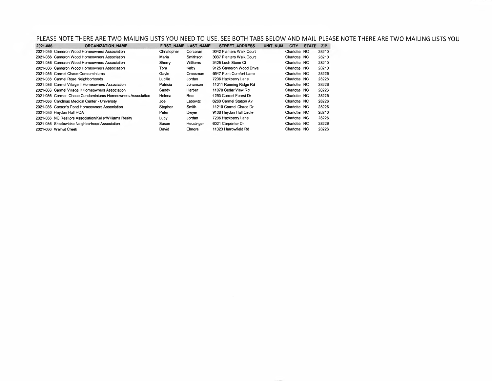PLEASE NOTE THERE ARE TWO MAILING LISTS YOU NEED TO USE. SEE BOTH TABS BELOW AND MAIL PLEASE NOTE THERE ARE TWO MAILING LISTS YOU

| 2021-086 | <b>ORGANIZATION NAME</b>                                  | <b>FIRST NAME</b> | <b>LAST NAME</b> | <b>STREET ADDRESS</b>    | <b>UNIT NUM</b> | <b>CITY</b>  | <b>STATE</b> | <b>ZIP</b> |
|----------|-----------------------------------------------------------|-------------------|------------------|--------------------------|-----------------|--------------|--------------|------------|
|          | 2021-086 Cameron Wood Homeowners Association              | Christopher       | Corcoran         | 3042 Planters Walk Court |                 | Charlotte NC |              | 28210      |
|          | 2021-086 Cameron Wood Homeowners Association              | Maria             | Smithson         | 3037 Planters Walk Court |                 | Charlotte NC |              | 28210      |
|          | 2021-086 Cameron Wood Homeowners Association              | Sherry            | Williams         | 3425 Loch Stone Ct       |                 | Charlotte NC |              | 28210      |
|          | 2021-086 Cameron Wood Homeowners Association              | Tom               | Kirby            | 9125 Cameron Wood Drive  |                 | Charlotte NC |              | 28210      |
|          | 2021-086 Carmel Chace Condominiums                        | Gavle             | Creasman         | 6547 Point Comfort Lane  |                 | Charlotte NC |              | 28226      |
|          | 2021-086 Carmel Road Neighborhoods                        | Lucille           | Jordan           | 7206 Hackberry Lane      |                 | Charlotte NC |              | 28226      |
|          | 2021-086 Carmel Village II Homeowners Association         | Patricia          | Johanson         | 11011 Running Ridge Rd   |                 | Charlotte NC |              | 28226      |
|          | 2021-086 Carmel Village II Homeowners Association         | Sandy             | Harber           | 11070 Cedar View Rd      |                 | Charlotte NC |              | 28226      |
|          | 2021-086 Carmen Chace Condominiums Homeowners Association | Helena            | Rea              | 4253 Carmel Forest Dr    |                 | Charlotte NC |              | 28226      |
|          | 2021-086 Carolinas Medical Center - University            | Joe               | Labovitz         | 6260 Carmel Station Av   |                 | Charlotte NC |              | 28226      |
|          | 2021-086 Carson's Pond Homeowners Association             | Stephen           | Smith            | 11210 Carmel Chace Dr    |                 | Charlotte NC |              | 28226      |
|          | 2021-086 Heydon Hall HOA                                  | Peter             | Dwyer            | 9106 Heydon Hall Circle  |                 | Charlotte NC |              | 28210      |
|          | 2021-086 NC Realtors Association/KellerWilliams Realty    | Lucy              | Jordan           | 7206 Hackberry Lane      |                 | Charlotte NC |              | 28226      |
|          | 2021-086 Shadowlake Neighborhood Association              | Susan             | Heusinger        | 6021 Carpenter Dr        |                 | Charlotte NC |              | 28226      |
|          | 2021-086 Walnut Creek                                     | David             | Elmore           | 11323 Harrowfield Rd     |                 | Charlotte NC |              | 28226      |
|          |                                                           |                   |                  |                          |                 |              |              |            |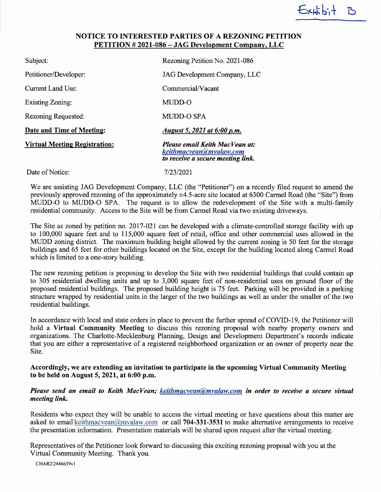#### NOTICE TO INTERESTED PARTIES OF A REZONING PETITION PETITION # 2021-086 —JAG Development Company, LLC

 $Exth$ 

| Subject:                             | Rezoning Petition No. 2021-086                                                                 |
|--------------------------------------|------------------------------------------------------------------------------------------------|
| Petitioner/Developer:                | JAG Development Company, LLC                                                                   |
| Current Land Use:                    | Commercial/Vacant                                                                              |
| <b>Existing Zoning:</b>              | MUDD-O                                                                                         |
| Rezoning Requested:                  | <b>MUDD-O SPA</b>                                                                              |
| <b>Date and Time of Meeting:</b>     | August 5, 2021 at 6:00 p.m.                                                                    |
| <b>Virtual Meeting Registration:</b> | Please email Keith MacVean at:<br>keithmacyean@myalaw.com<br>to receive a secure meeting link. |
| Date of Notice:                      | 7/23/2021                                                                                      |

We are assisting JAG Development Company, LLC (the "Petitioner") on a recently filed request to amend the previously approved rezoning of the approximately  $\pm 4.5$ -acre site located at 6300 Carmel Road (the "Site") from MUDD-O to MUDD-O SPA. The request is to allow the redevelopment of the Site with a multi-family residential community. Access to the Site will be from Carmel Road via two existing driveways.

The Site as zoned by petition no. 2017-021 can be developed with aclimate-controlled storage facility with up to 100,000 square feet and to 115,000 square feet of retail, office and other commercial uses allowed in the MLJDD zoning district. The maximum building height allowed by the current zoning is 50 feet for the storage buildings and 65 feet for other buildings located on the Site, except for the building located along Carmel Road which is limited to a one-story building.

The new rezoning petition is proposing to develop the Site with two residential buildings that could contain up to 305 residential dwelling units and up to 3,000 square feet of non-residential uses on ground floor of the proposed residential buildings. The proposed building height is 75 feet. Parking will be provided in a parking structure wrapped by residential units in the larger of the two buildings as well as under the smaller of the two residential buildings.

In accordance with local and state orders in place to prevent the further spread of COVID-19, the Petitioner will hold a Virtual Community Meeting to discuss this rezoning proposal with nearby property owners and organizations. The Charlotte-Mecklenburg Planning, Design and Development Department's records indicate that you are either a representative of a registered neighborhood organization or an owner of property near the Site.

#### Accordingly, we are extending an invitation to participate in the upcoming Virtual Community Meeting to be held on August 5, 2021, at 6:00 p.m.

#### Please send an email to Keith MacVean; keithmacvean@mvalaw.com in order to receive a secure virtual meeting link.

Residents who expect they will be unable to access the virtual meeting or have questions about this matter are asked to email keithmacvean $\omega$  mvalaw.com or call 704-331-3531 to make alternative arrangements to receive the presentation information. Presentation materials will be shared upon request after the virtual meeting.

Representatives of the Petitioner look forward to discussing this exciting rezoning proposal with you at the Virtual Community Meeting. Thank you.

CHAR2\2446639v1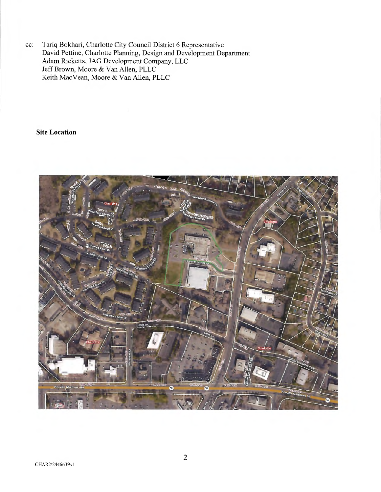cc: Tariq Bokhari, Charlotte City Council District 6 Representative David Pettine, Charlotte Planning, Design and Development Department Adam Ricketts, JAG Development Company, LLC Jeff Brown, Moore & Van Allen, PLLC Keith MacVean, Moore & Van Allen, PLLC

Site Location